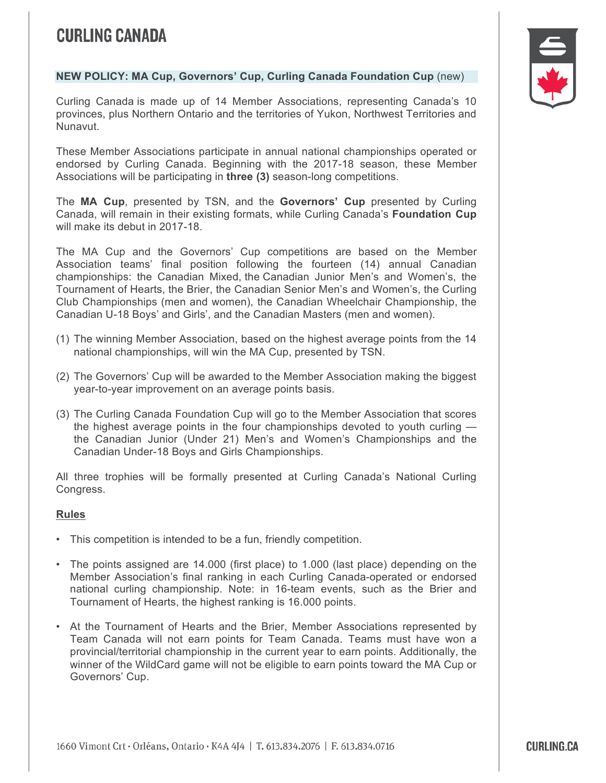## **CURLING CANADA**

## **NEW POLICY: MA Cup, Governors' Cup, Curling Canada Foundation Cup** (new)

Curling Canada is made up of 14 Member Associations, representing Canada's 10 provinces, plus Northern Ontario and the territories of Yukon, Northwest Territories and Nunavut.

These Member Associations participate in annual national championships operated or endorsed by Curling Canada. Beginning with the 2017-18 season, these Member Associations will be participating in **three (3)** season-long competitions.

The **MA Cup**, presented by TSN, and the **Governors' Cup** presented by Curling Canada, will remain in their existing formats, while Curling Canada's **Foundation Cup** will make its debut in 2017-18.

The MA Cup and the Governors' Cup competitions are based on the Member Association teams' final position following the fourteen (14) annual Canadian championships: the Canadian Mixed, the Canadian Junior Men's and Women's, the Tournament of Hearts, the Brier, the Canadian Senior Men's and Women's, the Curling Club Championships (men and women), the Canadian Wheelchair Championship, the Canadian U-18 Boys' and Girls', and the Canadian Masters (men and women).

- (1) The winning Member Association, based on the highest average points from the 14 national championships, will win the MA Cup, presented by TSN.
- (2) The Governors' Cup will be awarded to the Member Association making the biggest year-to-year improvement on an average points basis.
- (3) The Curling Canada Foundation Cup will go to the Member Association that scores the highest average points in the four championships devoted to youth curling the Canadian Junior (Under 21) Men's and Women's Championships and the Canadian Under-18 Boys and Girls Championships.

All three trophies will be formally presented at Curling Canada's National Curling Congress.

## **Rules**

- This competition is intended to be a fun, friendly competition.
- The points assigned are 14.000 (first place) to 1.000 (last place) depending on the Member Association's final ranking in each Curling Canada-operated or endorsed national curling championship. Note: in 16-team events, such as the Brier and Tournament of Hearts, the highest ranking is 16.000 points.
- 9 At the Tournament of Hearts and the Brier, Member Associations represented by Team Canada will not earn points for Team Canada. Teams must have won a provincial/territorial championship in the current year to earn points. Additionally, the winner of the WildCard game will not be eligible to earn points toward the MA Cup or Governors' Cup.